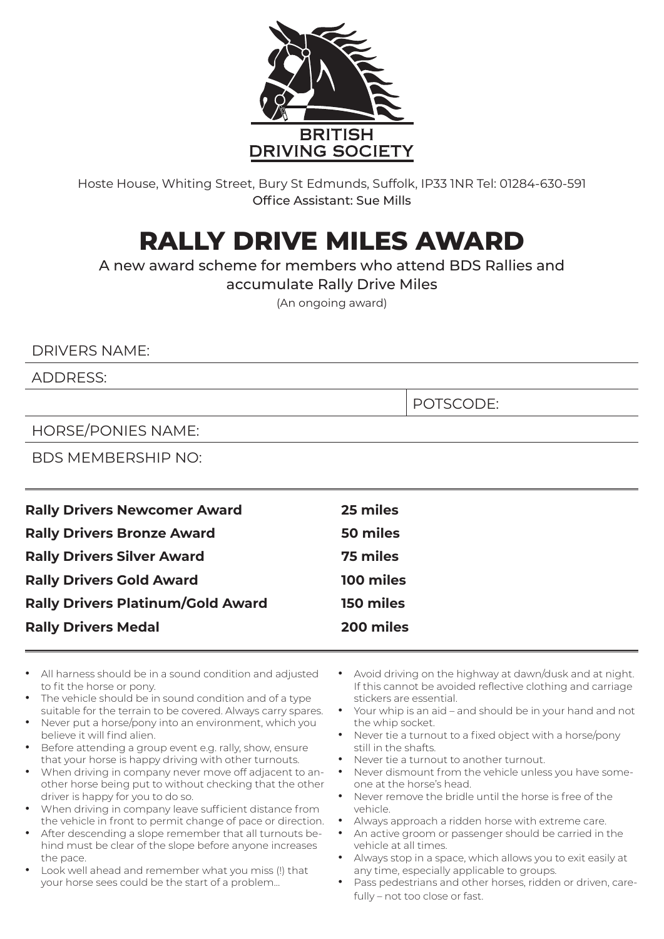

Hoste House, Whiting Street, Bury St Edmunds, Suffolk, IP33 1NR Tel: 01284-630-591 Office Assistant: Sue Mills

## **RALLY DRIVE MILES AWARD**

A new award scheme for members who attend BDS Rallies and

accumulate Rally Drive Miles

(An ongoing award)

## DRIVERS NAME:

ADDRESS:

POTSCODE:

HORSE/PONIES NAME:

BDS MEMBERSHIP NO:

| <b>Rally Drivers Newcomer Award</b>      | 25 miles  |
|------------------------------------------|-----------|
| <b>Rally Drivers Bronze Award</b>        | 50 miles  |
| <b>Rally Drivers Silver Award</b>        | 75 miles  |
| <b>Rally Drivers Gold Award</b>          | 100 miles |
| <b>Rally Drivers Platinum/Gold Award</b> | 150 miles |
| <b>Rally Drivers Medal</b>               | 200 miles |
|                                          |           |

- All harness should be in a sound condition and adjusted to fit the horse or pony.
- The vehicle should be in sound condition and of a type suitable for the terrain to be covered. Always carry spares.
- Never put a horse/pony into an environment, which you believe it will find alien.
- Before attending a group event e.g. rally, show, ensure that your horse is happy driving with other turnouts.
- When driving in company never move off adjacent to another horse being put to without checking that the other driver is happy for you to do so.
- When driving in company leave sufficient distance from the vehicle in front to permit change of pace or direction.
- After descending a slope remember that all turnouts behind must be clear of the slope before anyone increases the pace.
- Look well ahead and remember what you miss (!) that your horse sees could be the start of a problem…
- Avoid driving on the highway at dawn/dusk and at night. If this cannot be avoided reflective clothing and carriage stickers are essential.
- Your whip is an aid and should be in your hand and not the whip socket.
- Never tie a turnout to a fixed object with a horse/pony still in the shafts.
- Never tie a turnout to another turnout.
- Never dismount from the vehicle unless you have someone at the horse's head.
- Never remove the bridle until the horse is free of the vehicle.
- Always approach a ridden horse with extreme care.
- An active groom or passenger should be carried in the vehicle at all times.
- Always stop in a space, which allows you to exit easily at any time, especially applicable to groups.
- Pass pedestrians and other horses, ridden or driven, carefully – not too close or fast.